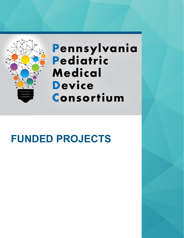

# **Pennsylvania Pediatric Medical Device Consortium**

# **FUNDED PROJECTS**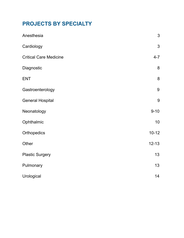### **PROJECTS BY SPECIALTY**

| Anesthesia                    | 3              |
|-------------------------------|----------------|
| Cardiology                    | $\mathfrak{S}$ |
| <b>Critical Care Medicine</b> | $4 - 7$        |
| Diagnostic                    | 8              |
| <b>ENT</b>                    | 8              |
| Gastroenterology              | 9              |
| <b>General Hospital</b>       | 9              |
| Neonatology                   | $9 - 10$       |
| Ophthalmic                    | 10             |
| Orthopedics                   | $10 - 12$      |
| Other                         | $12 - 13$      |
| <b>Plastic Surgery</b>        | 13             |
| Pulmonary                     | 13             |
| Urological                    | 14             |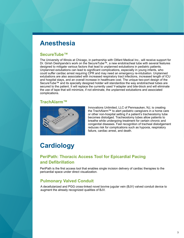# <span id="page-2-0"></span>**Anesthesia**

#### **SecureTube™**

The University of Illinois at Chicago, in partnership with Olifant Medical Inc., will receive support for Dr. Girish Deshpande's work on the SecureTube™, a new endotracheal tube with several features designed to mitigate various factors that lead to unplanned extubations in pediatric patients. Unplanned extubations can lead to significant complications, especially in young infants, who could suffer cardiac arrest requiring CPR and may need an emergency re-intubation. Unplanned extubations are also associated with increased respiratory tract infections, increased length of ICU and hospital stays, and an overall increase in healthcare cost. The unique two-port design of the SecureTube™ and its specially designed holder will standardize the way endotracheal tubes are secured to the patient. It will replace the currently used Y-adapter and bite-block and will eliminate the use of tape that will minimize, if not eliminate, the unplanned extubations and associated complications.

#### **TrachAlarm™**



Innovations Unlimited, LLC of Pennsauken, NJ, is creating the TrachAlarm™ to alert pediatric caregivers in a home care or other non-hospital setting if a patient's tracheostomy tube becomes dislodged. Tracheostomy tubes allow patients to breathe while undergoing treatment for certain chronic and congenital diseases. Fast recognition of tracheal dislodgement reduces risk for complications such as hypoxia, respiratory failure, cardiac arrest, and death.

# **Cardiology**

### **PeriPath: Thoracic Access Tool for Epicardial Pacing and Defibrillation**

PeriPath is the first access tool that enables single incision delivery of cardiac therapies to the pericardial space under direct visualization.

### **Pulmonary Valved Conduit**

A decellularized and PGG cross-linked novel bovine jugular vein (BJV) valved conduit device to augment the already recognized qualities of BJV.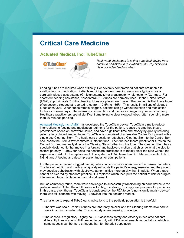## <span id="page-3-0"></span>**Critical Care Medicine**

#### **Actuated Medical, Inc: TubeClear**

**Watcher TubeClear** In-Patient Tube Clearing System



*Real world challenges in taking a medical device from adults to pediatrics to revolutionize the way clinicians clear occluded feeding tubes.*

Feeding tubes are required when critically ill or severely compromised patients are unable to swallow food or medication. Patients requiring long-term feeding assistance typically use a surgically placed gastrostomy (G), jejunostomy (J) or a gastrostomy-jejunostomy (GJ) tube. For short term feeding assistance, nasoenteral (NE) tubes are normally used. In the United States (USA), approximately 7 million feeding tubes are placed each year. The problem is that these tubes often become clogged at reported rates from 12.5% to >35%. This results in millions of clogged tubes each year. When tubes remain clogged, patients can go without nutrition and medication for hours or even days. The interruption in nutrition and medication negatively impacts recovery. Healthcare practitioners spend significant time trying to clear clogged tubes, often spending more than 20 minutes per clog.

[Actuated Medical, Inc. \(AMI\)\\*](http://actuatedmedical.com/) has developed the TubeClear device. TubeClear aims to reduce interruptions to feeding and medication regimens for the patient, reduce the time healthcare practitioners spend on hardware issues, and save significant time and money by quickly restoring patency to occluded feeding tubes. TubeClear is comprised of a reusable Control Box paired with a single use Clearing Stem. The healthcare practitioner attaches a Clearing Stem to the Control Box and inserts the Stem a few centimeters into the tube. Then the healthcare practitioner turns on the Control Box and manually directs the Clearing Stem further into the tube. The Clearing Stem has a specially designed tip that moves in a forward and backward motion that chips away at the clog to restore patency. TubeClear helps the healthcare practitioners to rapidly clear the tube without the expense and risk of tube replacement. The system is FDA cleared and CE Marked specific to NE, NG, G and J feeding and decompression tubes for adult patients.

For the pediatric market, clogged feeding tubes can occur more often due to the narrow diameters. The lack of nutrition and medication quickly exhausts the patient's energy reserves and the patient may develop dehydration with electrolyte abnormalities more quickly than in adults. When a tube cannot be cleared by standard practice, it is replaced which then puts the patient at risk for surgical intervention, tube misplacement and dislodgement.

But, as commonly found, there were challenges to successfully transitioning an adult device to the pediatric market. Often the adult device is too big, too strong, or simply inappropriate for pediatrics. In this case, even though TubeClear is considered by the FDA to be "a non-significant risk device" there was still concern with moving TubeClear into the pediatric market.

The challenge to expand TubeClear's indications to the pediatric population is threefold:

- The first was scale. Pediatric tubes are inherently smaller and the Clearing Stems now had to work in a much smaller tube. This is largely an engineering challenge.
- The second is regulatory. Rightly so, FDA assesses safety and efficacy in pediatric patients differently than in adults. AMI needed to comply with FDA requirements for pediatrics, which in some aspects can be more stringent than for the adult population.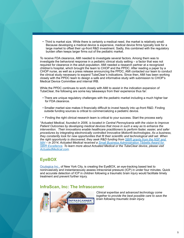• Third is market size. While there is certainly a medical need, the market is relatively small. Because developing a medical device is expensive, medical device firms typically look for a large market to offset their up-front R&D investment. Sadly, this combined with the regulatory burden often keeps larger firms out of the pediatric market.

To receive FDA clearance, AMI needed to investigate several factors. Among them was to investigate the behavioral response in a pediatric clinical study setting – a factor that was not required for clearance in the adult population. AMI needed a research partner at a recognized children's hospital, which brought the team to CHOP and the PPDC. After reading a paper by a CHOP nurse, as well as a press release announcing the PPDC, AMI contacted our team to conduct the clinical study necessary to expand TubeClear's indications. Since then, AMI has been working closely with the PPDC team to design a safe and informative study with submission to CHOP's Medical Device Committee and internal IRB.

While the PPDC continues to work closely with AMI to assist in the indication expansion of TubeClear, the following are some key takeaways from their experience thus far:

- There are unique regulatory challenges with the pediatric market including a much higher bar for FDA clearance.
- Smaller market size makes it financially difficult to invest heavily into up-front R&D. Finding outside funding sources is critical to commercializing a pediatric device.
- Finding the right clinical research team is critical to your success. Start the process early.

*\*Actuated Medical, founded in 2006, is located in Central Pennsylvania with the vision to Improve Patient Outcomes by developing medical devices that move in such a way as to enhance the intervention. Their innovations enable healthcare practitioners to perform faster, easier, and safer procedures by integrating electronically controlled Innovative Motion® technologies. As a business, they constantly look for new opportunities that fit their scientific and technological skill set. When the right opportunity is discovered, they seek R&D funding from [SBIR grants from the NSF and](http://www.sbir.gov/about/about-sbir)  [NIH](http://www.sbir.gov/about/about-sbir) – in 2014, Actuated Medical received a [Small Business Administration Tibbetts Award for](https://www.sba.gov/content/high-tech-small-businesses-receive-tibbetts-awards-innovative-and-outstanding-contributions)  [SBIR Excellence.](https://www.sba.gov/content/high-tech-small-businesses-receive-tibbetts-awards-innovative-and-outstanding-contributions) To learn more about Actuated Medical or the TubeClear device, please visit [ActuatedMedical.com.](http://www.actuatedmedical.com/index.html)*

### **EyeBOX**

[Oculogica Inc.,](http://www.oculogica.com/) of New York City, is creating the EyeBOX, an eye-tracking based test to noninvasively and instantaneously assess intracranial pressure (ICP) in under four minutes. Quick and accurate detection of ICP in children following a traumatic brain injury would facilitate timely treatment and prevent further injury.

#### **InfraScan, Inc: The Infrascanner**



*Clinical expertise and advanced technology come together to provide the best possible care to save the brain following traumatic brain injury.*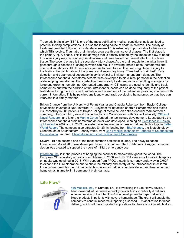Traumatic brain injury (TBI) is one of the most debilitating medical conditions, as it can lead to potential lifelong complications. It is also the leading cause of death in children. The quality of treatment provided following a moderate to severe TBI is extremely important due to the way in which TBIs evolve. Traumatic brain injuries progress through several phases. The first stage is the primary injury phase. This is the damage that is directly caused by the impact or blow to head; this initial injury may be relatively small in size and have limited permanent effect on the brain tissue. The second phase is the secondary injury phase. As the brain reacts to the initial injury it goes through a cascade of changes which can result in swelling, brain bleeds (hematoma) and chemical imbalances. All of these are injurious to brain tissue. The final magnitude of injury to the brain is the combination of the primary and secondary injury. "Time lost is brain lost". Early detection and treatment of secondary injury is critical to limit permanent brain damage. The Infrascanner handheld, hematoma detector was developed to aid clinical personal in the detection of developing hematomas. Early detection means early treatment, usually resulting in surgery for large and growing hematomas. Computed tomography (CT) scans are used to identify and track hematomas but with the addition of the Infrascanner, scans can be done frequently at the patient bedside reducing the exposure to radiation and movement of the patient yet providing clinicians with current information. This helps clinicians identify and track developing hematomas so that they can intervene in a timely manner.

Britton Chance from the University of Pennsylvania and Claudia Robertson from Baylor College of Medicine invented a Near Infrared (NIR) system for detection of brain Hematomas and tested it successfully in 305 patients at Baylor College of Medicine. An entrepreneurial team formed a company, InfraScan, Inc., around this technology in Collaboration with Drexel University. Office of [Naval Research](http://www.onr.navy.mil/Science-Technology/Departments/Code-34/All-Programs/warfighter-protection-applications-342/Force-Health-Protection.aspx) and later the [Marine Corps](http://www.marcorsyscom.usmc.mil/sites/cbrn/team ffme.asp) funded the technology development. Subsequently the Infrascanner handheld brain hematoma detector was developed, winning an Excellence in Design [gold award](http://www.appliancedesign.com/articles/91017-excellence-in-design-clever-creations) in 2007 and in 2009 the system was featured as a transformational technology in [Better](http://www.autm.net/AM/Template.cfm?Section=Past_Reports&Template=/CM/ContentDisplay.cfm&ContentID=7451)  [World Report.](http://www.autm.net/AM/Template.cfm?Section=Past_Reports&Template=/CM/ContentDisplay.cfm&ContentID=7451) The company also attracted \$1.8M in funding from [BioAdvance](http://www.bioadvance.com/), the Biotechnology Greenhouse of Southeastern Pennsylvania, from [Ben Franklin Technology Partners of Southeastern](http://www.sep.benfranklin.org/)  [Pennsylvania,](http://www.sep.benfranklin.org/) and from [Philadelphia Industrial Development Corporation](http://www.pidc-pa.org/).

Severe TBI has become one of the most common battlefield injuries. The newly released Infrascanner Model 2000 was developed based on input from the US Marines. A rugged, compact design was created to support the rigors of military emergency use.

[InfraScan, Inc.](http://www.infrascanner.com/) is in the process of bringing the scanner to market throughout the world. The European CE regulatory approval was obtained in 2008 and US FDA clearance for use in hospitals on adults was obtained in 2013. With support from PPDC a study is currently underway in CHOP to expand the FDA clearance and to show the efficacy and safety of the Infrascanner in children. Infrascanner provides the unique portable solution for helping clinicians detect and treat emerging hematomas in time to limit permanent brain damage.

#### **Life Flow©**



[410 Medical, Inc.](http://410medical.com/), of Durham, NC, is developing the Life Flow© device, a hand-powered infuser used to quickly deliver fluids to critically ill patients. A newer version of the Life Flow© is in development for rapid delivery of blood products in patients with severe hemorrhage. The grant will enable the company to conduct research supporting a second FDA application for blood delivery, which will have important applications for the care of injured children.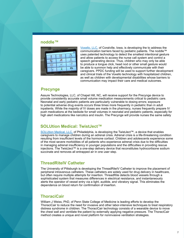#### **noddle™**



[Voxello, LLC,](http://www.voxello.com/) of Coralville, Iowa, is developing the to address the communication barriers faced by pediatric patients. The noddle™ uses patented technology to detect the smallest intentional gesture and allow patients to access the nurse call system and control a speech generating device. Thus, children who may only be able to produce a tongue click, head nod or other small gesture would be able to summon help and effectively communicate with their caregivers. PPDC funding will be used to support further development and clinical trials of the Voxello technology with hospitalized children, as well as children with developmental disabilities whose barriers to communication may impact their care and medical outcomes.

#### **Precynge**

Assure Technologies, LLC, of Chapel Hill, NC, will receive support for the Precynge device to provide consistently accurate small volume medication measurements critical to pediatric care. Neonatal and early pediatric patients are particularly vulnerable to dosing errors; exposure to potential adverse drug events occurs three times more frequently in pediatric than in adult inpatients. While the majority of IV doses are made in the pharmacy, nurses frequently prepare IV push medications at the bedside for small volumes in neonatal and pediatric patients, especially for high alert medications like narcotics and insulin. The Precynge will provide nurses the same safety

### **SOLUtion Medical: TwistJect™**

[SOLUtion Medical, LLC,](https://solutionmedllc.com/) of Philadelphia, is developing the TwistJect™, a device that enables caregivers to manage children during an adrenal crisis. Adrenal crisis is a life-threatening condition resulting from insufficient levels of the hormone cortisol. Children and adolescents experience some of the most severe morbidities of all patients who experience adrenal crisis due to the difficulties in managing adrenal insufficiency in younger populations and the difficulties in providing rescue injections. The TwistJect™ is a one-step delivery device that reconstitutes hydrocortisone sodium succinate and removes all entrapped air in one user step.

### **ThreadRiteIV Catheter**

The University of Pittsburgh is developing the ThreadRiteIV Catheter to improve the placement of peripheral intravenous catheters. These catheters are widely used for drug delivery in healthcare, but often require multiple attempts for insertion. ThreadRite detects blood vessels through a sophisticated system that measures differences in electrical resistance, and instantaneously alerts the operator of vessel entry via a light, audible, and vibratory signal. This eliminates the dependence on blood return for confirmation of insertion.

### **ThoraciCair**

William J Weiss, PhD, of Penn State College of Medicine is leading efforts to develop the ThoraciCair to reduce the need for invasive and other labor-intensive techniques to treat respiratory distress syndrome in children. The ThoraciCair technology consists of a wearable device to move the chest wall and ventilate the patient by externally applying negative pressure. The ThoraciCair method creates a unique and novel platform for noninvasive ventilation strategies.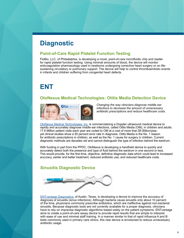## <span id="page-7-0"></span>**Diagnostic**

#### **Point-of-Care Rapid Platelet Function Testing**

FloBio, LLC, of Philadelphia, is developing a novel, point-of-care microfluidic chip and reader for rapid platelet function testing. Using minimal amounts of blood, the device will monitor anticoagulation pharmacology used in newborns undergoing corrective heart surgery or on lifesustaining circulatory or pulmonary support. The device will help to control thromboembolic events in infants and children suffering from congenital heart defects.

# **ENT**

### **OtoNexus Medical Technologies: Otitis Media Detection Device**



*Changing the way clinicians diagnose middle ear infections to decrease the amount of unnecessary antibiotic prescriptions and reduce healthcare costs.*

[OtoNexus Medical Technologies, Inc.](http://www.otonexus.com/) is commercializing a Doppler ultrasound medical device to rapidly and accurately diagnose middle ear infections, called Otitis Media (OM), in children and adults. 17.6 Million patient visits each year are coded to OM at a cost of more than \$5 Billion/year, yet clinical studies show a 50 percent error rate in diagnosis. Otitis Media is the No. 1 reason for antibiotic prescriptions in children, as well as the No. 1 cause for surgery in children. Current diagnostic methods are decades old and cannot distinguish the type of infection behind the eardrum.

With funding in part from the PPDC, OtoNexus is developing a handheld device to quickly and accurately detect both the presence and type of fluid behind the eardrum in one second or less. This would provide, for the first time, objective, definitive diagnostic data which could lead to increased accuracy, earlier and better treatment, reduced antibiotic use, and reduced healthcare costs.

### **Sinusitis Diagnostic Device**



[ENTvantage Diagnostics,](https://www.entvantagedx.com/products) of Austin, Texas, is developing a device to improve the accuracy of diagnosis of sinusitis (sinus infections). Although bacteria cause sinusitis only about 10 percent of the time, physicians commonly prescribe antibiotics, which are ineffective against non-bacterial sinusitis. Because diagnostic tools are not currently available for a proper diagnosis, clinicians have to rely on imprecise diagnostic algorithms based solely on the patient symptoms. ENTvantage aims to create a point-of-care assay device to provide rapid results that are simple to interpret with ease of use and minimal staff training. In a manner similar to that of rapid influenza A and B tests commonly used in primary care clinics, this new device is envisioned to reduce unnecessary antibiotic usage.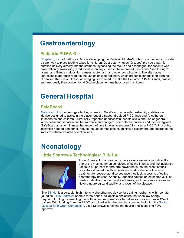# <span id="page-8-0"></span>**Gastroenterology**

#### **Pediatric PUMA-G**

[CoapTech, Inc.,](https://www.coaptech.com/) of Baltimore, MD, is developing the Pediatric PUMA-G, which is expected to provide a safer way to place feeding tubes for children. Gastrostomy tubes (G-tubes) provide a path for nutrition delivery directly into the stomach, bypassing the mouth and esophagus, for patients who have difficulty swallowing. Traditional technology used in these procedures cannot "see through" tissue, and G-tube malposition causes acute harm and other complications. The alternative fluoroscopic approach requires the use of ionizing radiation, which presents serious long-term risk of cancer. The use of ultrasound imaging is expected to make the Pediatric PUMA-G safer, timelier, and less costly than conventional G-tube placement methods used in children.

# **General Hospital**

### **SafeBoard**

[SafeBoard, LLC](https://www.safeboardllc.com/), of Youngsville, LA, is creating SafeBoard, a patented extremity stabilization device designed to assist in the placement of ultrasound-guided PICC lines and IV catheters in neonates and children. Historically, repeated unsuccessful needle sticks and use of general anesthesia and sedation can be traumatic and dangerous to both the patients and their caregivers. SafeBoard aims to minimize the amount of time it takes to successfully insert a PICC/IV in a child, minimize needed personnel, reduce the use of medications, minimize discomfort, and decrease the rates of catheter-related complications.

# **Neonatology**

### **Little Sparrows Technologies: Bili-Hut**



About 8 percent of all newborns have severe neonatal jaundice. It's one of the most common conditions affecting infants, and the incidence jumps to 80 percent for preterm newborns in the first week of their lives. An estimated 6 million newborns worldwide do not receive treatment for severe jaundice because they lack access to effective phototherapy devices. Annually, jaundice causes an estimated 30% of newborn deaths in underdeveloped areas, and many survivors suffer lifelong neurological disability as a result of the disease.

The [Bili-Hut](http://little-sparrows-tech.com/bili-hut-story/) is a portable, high-intensity phototherapy device for treating newborns with neonatal jaundice. [Little Sparrows](http://little-sparrows-tech.com/) offers a three-pound, collapsible enclosure that uses low-energyrequiring LED lights, enabling use with either line power or alternative sources such as a 12-volt battery. With funding from the PPDC combined with other funding sources, including the Saving [Lives at Birth Grant Competition](http://savinglivesatbirth.net/devxchange), Little Sparrows is refining the device and is seeking FDA approval.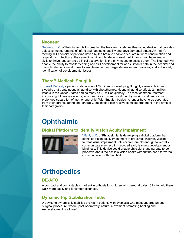#### **Neoneur**

[Neoneur, LLC,](https://neoneur.com/) of Pennington, NJ is creating the Neoneur, a telehealth-enabled device that provides objective measurements of infant oral feeding capability and developmental status. An infant's feeding skills consist of patterns driven by the brain to enable adequate nutrient consumption and respiratory protection at the same time without hindering growth. All infants must have feeding skills to thrive, but currently clinical observation is the only means to assess them. The Neoneur will enable the ability to monitor feeding and skill development for at-risk infants both in the hospital and through telemedicine at home to enable earlier discharge, decrease readmissions, and aid in early identification of developmental issues.

### **TheraB Medical: SnugLit**

[TheraB Medical,](https://www.therabmedical.com/) a pediatric startup out of Michigan, is developing SnugLit, a wearable infant swaddle that treats neonatal jaundice with phototherapy. Neonatal jaundice affects 2.4 million infants in the United States and as many as 20 million globally. The most common treatment involves light therapy systems, which require constant monitoring by nursing staff and cause prolonged separation of mother and child. With SnugLit, babies no longer have to be separated from their parents during phototherapy, but instead can receive complete treatment in the arms of their caregivers.

# **Ophthalmic**

### **Digital Platform to Identify Vision Acuity Impairment**



[Vifant, LLC,](https://vifantmobile.com/) of Philadelphia, is developing a digital platform that identifies vision acuity impairment in preverbal children. Waiting to treat visual impairment until children are old enough to verbally communicate may result in reduced early learning development or blindness. This device could enable physicians and parents to be proactive about their child's vision health without the need for verbal communication with the child.

# **Orthopedics**

### **DE-AFO**

A compact and comfortable smart ankle orthosis for children with cerebral palsy (CP), to help them walk more easily and for longer distances.

### **Dynamic Hip Stabilization Tether**

A device to dynamically stabilize the hip in patients with dysplasia who must undergo an open surgical procedure, where, post-operatively, natural movement promoting healing and re-development is allowed.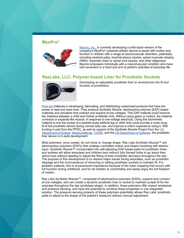#### **MyoPro©**



[Myomo, Inc.,](http://myomo.com/) is currently developing a child-sized version of the company's MyoPro© powered orthotic device to assist with motion and function in children with a range of neuromuscular disorders, potentially including cerebral palsy, brachial plexus injuries, spinal muscular atrophy (SMA), traumatic brain or spinal cord injuries, and other diagnoses. Myomo empowers individuals with a neuromuscular condition who have lost movement in a hand and arm to perform activities of everyday life.

#### **RasLabs, LLC: Polymer-based Liner for Prosthetic Sockets**



*Developing an adjustable prosthetic liner to revolutionize the fit and function of prosthetics.*

[RasLabs](http://raslabs.com/) believes in developing, fabricating, and distributing customized products that have the power to heal and save lives. They produce Synthetic Muscle, electroactive polymer (EAP) based materials and actuators that contract and expand at low voltages. This EAP material could improve the interface between a child and his/her prosthetic limb. Without using gears or motors, the material contracts or expands like muscle, in response to low-voltage electricity. Using this biomimetic material to line the socket of a pediatri-sized artificial leg or other limb could provide a more snug fit of the prosthetic device during normal daily use, and improve a child's experience using it. With funding in part from the PPDC, as well as support of the Synthetic Muscle Project from the [US](http://energy.gov/)  [Department of Energy](http://energy.gov/), [MassChallenge](http://masschallenge.org/startups/2013/profile/ras-labs-llc), [CASIS](http://www.iss-casis.org/), and the [US Department of Defense,](http://www.defense.gov/) the prosthetic liner device is in early development.

Most polymers, once cooled, do not move or change shape. Ras Labs Synthetic Muscle™ are electroactive polymers (EAPs) that undergo controlled motion and shape-morphing with electric input. Synthetic Muscle™ incorporated into self-adjusting EAP based pads for prosthetic liners and sockets will allow amputees and children born without fully formed limbs to go about their active lives without needing to adjust the fitting of their prosthetic device(s) throughout the day. The purpose of this development is to resolve major issues facing amputees, such as prosthetic slippage and the inconvenience of removing or adding prosthetic sockets to maintain fit. For pediatric patients, this is of paramount importance because of the brain mapping that occurs with full function during childhood, and for all children to comfortably and easily enjoy the full freedom of motion.

Ras Labs Synthetic Muscle™, comprised of electroactive polymers (EAPs), expand and contract at low voltages, and can create a dynamic prosthetic liner or socket to maintain proper fit for the amputee throughout the day (prototype stage). In addition, these polymers offer impact resistance and pressure sensing, and have the potential to combine these properties in one integrated solution. The pressure sensing property of these polymers potentially allows Ras Labs' prosthetic pads to adjust to the shape of the patient's residuum without manual adjustment.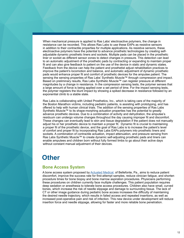When mechanical pressure is applied to Ras Labs' electroactive polymers, the change in resistance can be recorded. This allows Ras Labs to use these EAPs as resistive sensors in addition to their contractile properties for multiple applications. As resistive sensors, these electroactive polymers have the potential to advance prosthetic technologies by creating selfadjustable dynamic prosthetic liners and sockets. Multiple pads can be placed in the prosthetic liner or socket as different sensor zones to detect changes in pressure. This detection can lead to an automatic adjustment of the prosthetic pads by contracting or expanding to maintain proper fit and can also give feedback to patient on the use of the device in static and dynamic states. Feedback from the device can help the patient and prosthetist adjust rehabilitation practices to improve the patient's locomotion and balance, and automatic adjustment of dynamic prosthetic pads would enhance proper fit and comfort of prosthetic devices for the amputee patient. The sensing the sensing properties of Ras Labs' Synthetic Muscle™ through compression and impact. Based on preliminary results, Ras Labs Synthetic Muscle™ can register pressure at different magnitudes by a change in resistance. In the compression sensing tests, the polymer senses that a large amount of force is being applied over a set period of time. For the impact sensing tests, the polymer registers the blunt impact by showing a spiked decrease in resistance followed by an exponential climb to a stable state.

Ras Labs is collaborating with United Prosthetics, Inc., which is taking care of the majority of the Boston Marathon victims, including pediatric patients, is assisting with prototyping, and has offered to help with human clinical trials. The addition of the sensing properties of Ras Labs Synthetic Muscle™ to its shape-morphing actuation properties has the potential to greatly advance prosthetic devices. Due to a combination of activity and dehydration, the amputee's residuum can undergo volume changes throughout the day causing improper fit and discomfort. These changes can eventually lead to skin and tissue degradation if the patient does not manually adjust his or her prosthetic device to maintain a proper fit. Dynamic fit is crucial to maintaining a proper fit of the prosthetic device, and the goal of Ras Labs is to increase the patient's level of comfort and proper fit by incorporating Ras Labs EAPs polymers into prosthetic liners and sockets. A combination of contractile actuation, impact attenuation, and pressure sensing from Ras Labs Synthetic Muscle™ to create dynamic self-adjusting prosthetic pads and liners can enable amputees and children born without fully formed limbs to go about their active days without constant manual adjustment of their devices.

## **Other**

#### **Bone Access System**

A bone access system proposed by [Actuated Medical,](http://www.actuatedmedical.com/) of Bellefonte, Pa., aims to reduce patient discomfort, improve the success rate for first-attempt samples, reduce clinician fatigue, and shorten procedure times for bone biopsy and bone marrow aspiration procedures. Physicians performing these procedures on children currently face multiple challenges. This patient population requires deep sedation or anesthesia to tolerate bone access procedures. Children also have small, curved bones, which increase the risk of needle slippage and damage to surrounding tissue. The lack of CT or other image guidance during pediatric bone access increases the difficulty of maintaining the desired needle trajectory, which results in failed access and repeated insertions, as well as increased post-operative pain and risk of infection. This new device under development will reduce insertion force and needle slippage, allowing for faster and more reliable bone penetration.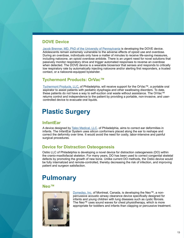#### **DOVE Device**

[Jacob Brenner, MD, PhD of the University of Pennsylvania](https://www.brennerbioengineeringlab.com/dovelabs) is developing the DOVE device. Adolescents remain extremely vulnerable to the adverse effects of opioid use and overdose. During an overdose, individuals only have a matter of minutes to receive life-saving measures, including naloxone, an opioid overdose antidote. There is an urgent need for novel solutions that passively monitor respiratory drive and trigger automated responses to reverse an overdose when detected. The DOVE device is a wearable biosensor that senses and responds to critically low respiratory rate by automatically injecting naloxone and/or alerting first responders, a trusted contact, or a naloxone-equipped bystander.

#### **Tychermont Products: OrVac™**

[Tychermont Products, LLC,](http://theorvac.com/) of Philadelphia, will receive support for the OrVac™, a portable oral aspirator to assist patients with pediatric dysphagia and other swallowing disorders. To date, these patients do not have a way to self-suction oral waste without assistance. The OrVac™ returns control and independence to the patient by providing a portable, non-invasive, and usercontrolled device to evacuate oral liquids.

# **Plastic Surgery**

### **InfantEar**

A device designed by **[Talex Medical, LLC](https://www.infantear.com/)**, of Philadelphia, aims to correct ear deformities in infants. The InfantEar System uses silicon conformers placed along the ear to reshape and correct the deformity over time. It would avoid the need for costly, labor-intensive and painful surgical procedures.

#### **Device for Distraction Osteogenesis**

Ostiio LLC of Philadelphia is developing a novel device for distraction osteogenesis (DO) within the cranio-maxillofacial skeleton. For many years, DO has been used to correct congenital skeletal defects by promoting the growth of new bone. Unlike current DO methods, the Ostiio device would be fully internalized and remote-controlled, thereby decreasing the risk of infection, and improving patient and surgeon satisfaction.

# **Pulmonary**

**Neo™**



[Dymedso, Inc.](http://www.dymedso.com/) of Montreal, Canada, is developing the Neo™, a nonpercussive acoustic airway clearance device specifically designed for infants and young children with lung diseases such as cystic fibrosis. The Neo™ uses sound waves for chest physiotherapy, which is more appropriate for toddlers and infants than clapping or percussive treatment.